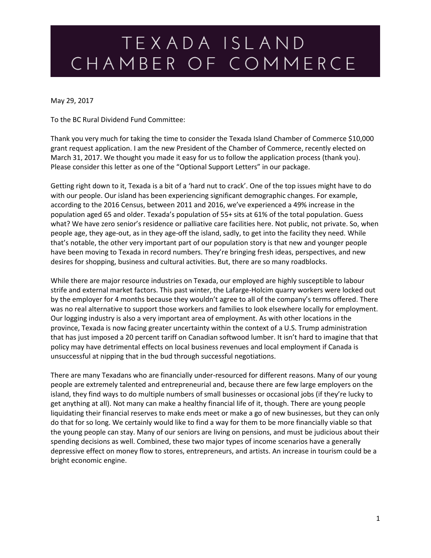May 29, 2017

To the BC Rural Dividend Fund Committee:

Thank you very much for taking the time to consider the Texada Island Chamber of Commerce \$10,000 grant request application. I am the new President of the Chamber of Commerce, recently elected on March 31, 2017. We thought you made it easy for us to follow the application process (thank you). Please consider this letter as one of the "Optional Support Letters" in our package.

Getting right down to it, Texada is a bit of a 'hard nut to crack'. One of the top issues might have to do with our people. Our island has been experiencing significant demographic changes. For example, according to the 2016 Census, between 2011 and 2016, we've experienced a 49% increase in the population aged 65 and older. Texada's population of 55+ sits at 61% of the total population. Guess what? We have zero senior's residence or palliative care facilities here. Not public, not private. So, when people age, they age-out, as in they age-off the island, sadly, to get into the facility they need. While that's notable, the other very important part of our population story is that new and younger people have been moving to Texada in record numbers. They're bringing fresh ideas, perspectives, and new desires for shopping, business and cultural activities. But, there are so many roadblocks.

While there are major resource industries on Texada, our employed are highly susceptible to labour strife and external market factors. This past winter, the Lafarge-Holcim quarry workers were locked out by the employer for 4 months because they wouldn't agree to all of the company's terms offered. There was no real alternative to support those workers and families to look elsewhere locally for employment. Our logging industry is also a very important area of employment. As with other locations in the province, Texada is now facing greater uncertainty within the context of a U.S. Trump administration that has just imposed a 20 percent tariff on Canadian softwood lumber. It isn't hard to imagine that that policy may have detrimental effects on local business revenues and local employment if Canada is unsuccessful at nipping that in the bud through successful negotiations.

There are many Texadans who are financially under-resourced for different reasons. Many of our young people are extremely talented and entrepreneurial and, because there are few large employers on the island, they find ways to do multiple numbers of small businesses or occasional jobs (if they're lucky to get anything at all). Not many can make a healthy financial life of it, though. There are young people liquidating their financial reserves to make ends meet or make a go of new businesses, but they can only do that for so long. We certainly would like to find a way for them to be more financially viable so that the young people can stay. Many of our seniors are living on pensions, and must be judicious about their spending decisions as well. Combined, these two major types of income scenarios have a generally depressive effect on money flow to stores, entrepreneurs, and artists. An increase in tourism could be a bright economic engine.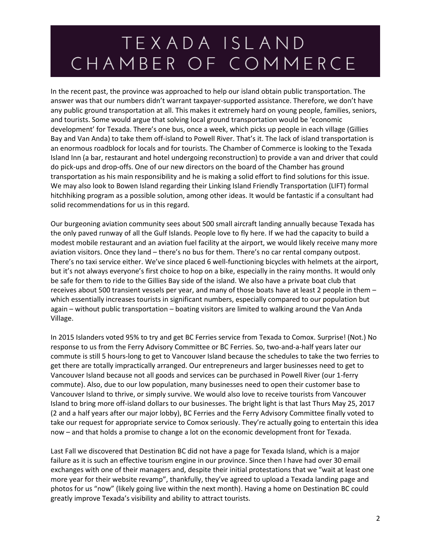In the recent past, the province was approached to help our island obtain public transportation. The answer was that our numbers didn't warrant taxpayer-supported assistance. Therefore, we don't have any public ground transportation at all. This makes it extremely hard on young people, families, seniors, and tourists. Some would argue that solving local ground transportation would be 'economic development' for Texada. There's one bus, once a week, which picks up people in each village (Gillies Bay and Van Anda) to take them off-island to Powell River. That's it. The lack of island transportation is an enormous roadblock for locals and for tourists. The Chamber of Commerce is looking to the Texada Island Inn (a bar, restaurant and hotel undergoing reconstruction) to provide a van and driver that could do pick-ups and drop-offs. One of our new directors on the board of the Chamber has ground transportation as his main responsibility and he is making a solid effort to find solutions for this issue. We may also look to Bowen Island regarding their Linking Island Friendly Transportation (LIFT) formal hitchhiking program as a possible solution, among other ideas. It would be fantastic if a consultant had solid recommendations for us in this regard.

Our burgeoning aviation community sees about 500 small aircraft landing annually because Texada has the only paved runway of all the Gulf Islands. People love to fly here. If we had the capacity to build a modest mobile restaurant and an aviation fuel facility at the airport, we would likely receive many more aviation visitors. Once they land – there's no bus for them. There's no car rental company outpost. There's no taxi service either. We've since placed 6 well-functioning bicycles with helmets at the airport, but it's not always everyone's first choice to hop on a bike, especially in the rainy months. It would only be safe for them to ride to the Gillies Bay side of the island. We also have a private boat club that receives about 500 transient vessels per year, and many of those boats have at least 2 people in them – which essentially increases tourists in significant numbers, especially compared to our population but again – without public transportation – boating visitors are limited to walking around the Van Anda Village.

In 2015 Islanders voted 95% to try and get BC Ferries service from Texada to Comox. Surprise! (Not.) No response to us from the Ferry Advisory Committee or BC Ferries. So, two-and-a-half years later our commute is still 5 hours-long to get to Vancouver Island because the schedules to take the two ferries to get there are totally impractically arranged. Our entrepreneurs and larger businesses need to get to Vancouver Island because not all goods and services can be purchased in Powell River (our 1-ferry commute). Also, due to our low population, many businesses need to open their customer base to Vancouver Island to thrive, or simply survive. We would also love to receive tourists from Vancouver Island to bring more off-island dollars to our businesses. The bright light is that last Thurs May 25, 2017 (2 and a half years after our major lobby), BC Ferries and the Ferry Advisory Committee finally voted to take our request for appropriate service to Comox seriously. They're actually going to entertain this idea now – and that holds a promise to change a lot on the economic development front for Texada.

Last Fall we discovered that Destination BC did not have a page for Texada Island, which is a major failure as it is such an effective tourism engine in our province. Since then I have had over 30 email exchanges with one of their managers and, despite their initial protestations that we "wait at least one more year for their website revamp", thankfully, they've agreed to upload a Texada landing page and photos for us "now" (likely going live within the next month). Having a home on Destination BC could greatly improve Texada's visibility and ability to attract tourists.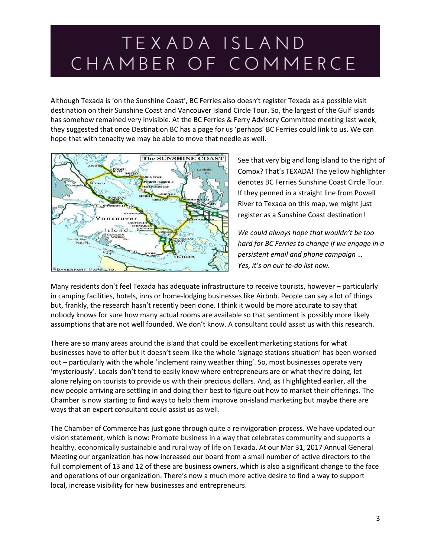Although Texada is 'on the Sunshine Coast', BC Ferries also doesn't register Texada as a possible visit destination on their Sunshine Coast and Vancouver Island Circle Tour. So, the largest of the Gulf Islands has somehow remained very invisible. At the BC Ferries & Ferry Advisory Committee meeting last week, they suggested that once Destination BC has a page for us 'perhaps' BC Ferries could link to us. We can hope that with tenacity we may be able to move that needle as well.



See that very big and long island to the right of Comox? That's TEXADA! The yellow highlighter denotes BC Ferries Sunshine Coast Circle Tour. If they penned in a straight line from Powell River to Texada on this map, we might just register as a Sunshine Coast destination!

*We could always hope that wouldn't be too hard for BC Ferries to change if we engage in a persistent email and phone campaign … Yes, it's on our to-do list now.* 

Many residents don't feel Texada has adequate infrastructure to receive tourists, however – particularly in camping facilities, hotels, inns or home-lodging businesses like Airbnb. People can say a lot of things but, frankly, the research hasn't recently been done. I think it would be more accurate to say that nobody knows for sure how many actual rooms are available so that sentiment is possibly more likely assumptions that are not well founded. We don't know. A consultant could assist us with this research.

There are so many areas around the island that could be excellent marketing stations for what businesses have to offer but it doesn't seem like the whole 'signage stations situation' has been worked out – particularly with the whole 'inclement rainy weather thing'. So, most businesses operate very 'mysteriously'. Locals don't tend to easily know where entrepreneurs are or what they're doing, let alone relying on tourists to provide us with their precious dollars. And, as I highlighted earlier, all the new people arriving are settling in and doing their best to figure out how to market their offerings. The Chamber is now starting to find ways to help them improve on-island marketing but maybe there are ways that an expert consultant could assist us as well.

The Chamber of Commerce has just gone through quite a reinvigoration process. We have updated our vision statement, which is now: Promote business in a way that celebrates community and supports a healthy, economically sustainable and rural way of life on Texada. At our Mar 31, 2017 Annual General Meeting our organization has now increased our board from a small number of active directors to the full complement of 13 and 12 of these are business owners, which is also a significant change to the face and operations of our organization. There's now a much more active desire to find a way to support local, increase visibility for new businesses and entrepreneurs.